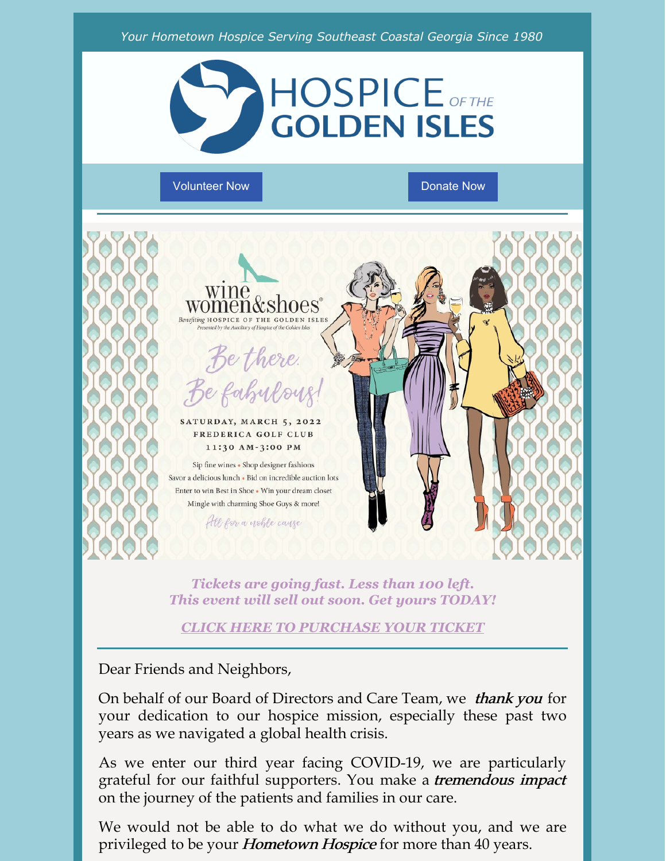

[Volunteer](http://hospice.me/giving/volunteer/) Now Domate Now [Donate](https://hospice.me/general-donation/) Now



*Tickets are going fast. Less than 100 left. This event will sell out soon. Get yours TODAY!*

*CLICK HERE TO [PURCHASE](https://www.winewomenandshoes.com/event/goldenisles/) YOUR TICKET*

Dear Friends and Neighbors,

On behalf of our Board of Directors and Care Team, we thank you for your dedication to our hospice mission, especially these past two years as we navigated a global health crisis.

As we enter our third year facing COVID-19, we are particularly grateful for our faithful supporters. You make a *tremendous impact* on the journey of the patients and families in our care.

We would not be able to do what we do without you, and we are privileged to be your *Hometown Hospice* for more than 40 years.